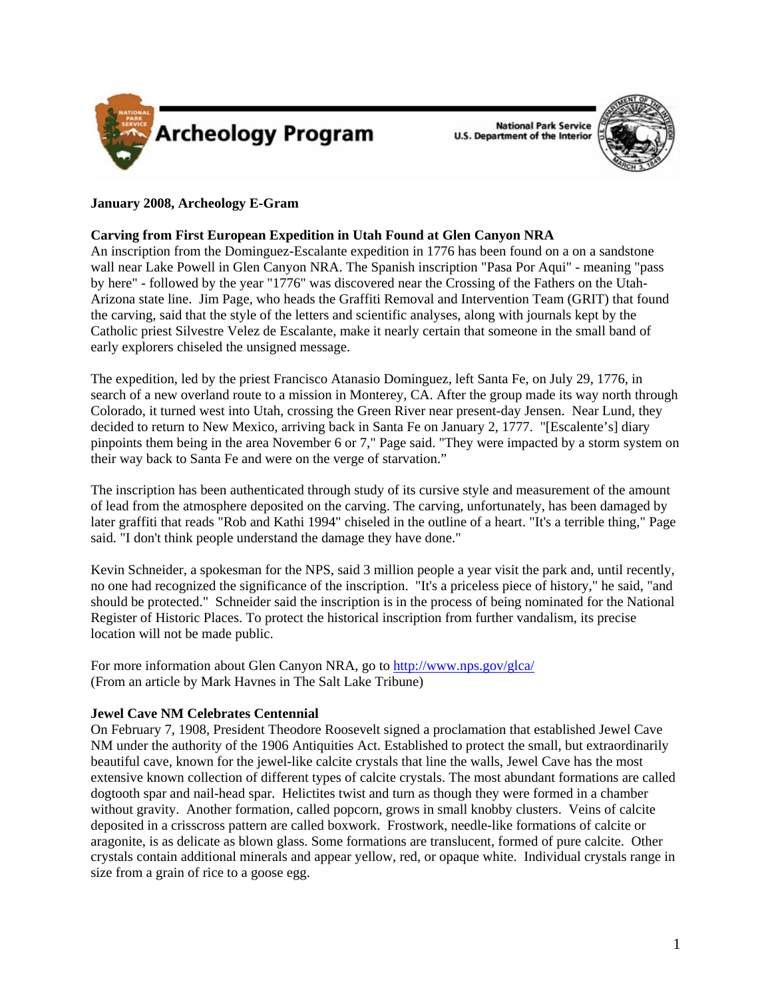

**National Park Service U.S. Department of the Interior** 



# **January 2008, Archeology E-Gram**

# **Carving from First European Expedition in Utah Found at Glen Canyon NRA**

An inscription from the Dominguez-Escalante expedition in 1776 has been found on a on a sandstone wall near Lake Powell in Glen Canyon NRA. The Spanish inscription "Pasa Por Aqui" - meaning "pass by here" - followed by the year "1776" was discovered near the Crossing of the Fathers on the Utah-Arizona state line. Jim Page, who heads the Graffiti Removal and Intervention Team (GRIT) that found the carving, said that the style of the letters and scientific analyses, along with journals kept by the Catholic priest Silvestre Velez de Escalante, make it nearly certain that someone in the small band of early explorers chiseled the unsigned message.

The expedition, led by the priest Francisco Atanasio Dominguez, left Santa Fe, on July 29, 1776, in search of a new overland route to a mission in Monterey, CA. After the group made its way north through Colorado, it turned west into Utah, crossing the Green River near present-day Jensen. Near Lund, they decided to return to New Mexico, arriving back in Santa Fe on January 2, 1777. "[Escalente's] diary pinpoints them being in the area November 6 or 7," Page said. "They were impacted by a storm system on their way back to Santa Fe and were on the verge of starvation."

The inscription has been authenticated through study of its cursive style and measurement of the amount of lead from the atmosphere deposited on the carving. The carving, unfortunately, has been damaged by later graffiti that reads "Rob and Kathi 1994" chiseled in the outline of a heart. "It's a terrible thing," Page said. "I don't think people understand the damage they have done."

Kevin Schneider, a spokesman for the NPS, said 3 million people a year visit the park and, until recently, no one had recognized the significance of the inscription. "It's a priceless piece of history," he said, "and should be protected." Schneider said the inscription is in the process of being nominated for the National Register of Historic Places. To protect the historical inscription from further vandalism, its precise location will not be made public.

For more information about Glen Canyon NRA, go to<http://www.nps.gov/glca/> (From an article by Mark Havnes in The Salt Lake Tribune)

## **Jewel Cave NM Celebrates Centennial**

On February 7, 1908, President Theodore Roosevelt signed a proclamation that established Jewel Cave NM under the authority of the 1906 Antiquities Act. Established to protect the small, but extraordinarily beautiful cave, known for the jewel-like calcite crystals that line the walls, Jewel Cave has the most extensive known collection of different types of calcite crystals. The most abundant formations are called dogtooth spar and nail-head spar. Helictites twist and turn as though they were formed in a chamber without gravity. Another formation, called popcorn, grows in small knobby clusters. Veins of calcite deposited in a crisscross pattern are called boxwork. Frostwork, needle-like formations of calcite or aragonite, is as delicate as blown glass. Some formations are translucent, formed of pure calcite. Other crystals contain additional minerals and appear yellow, red, or opaque white. Individual crystals range in size from a grain of rice to a goose egg.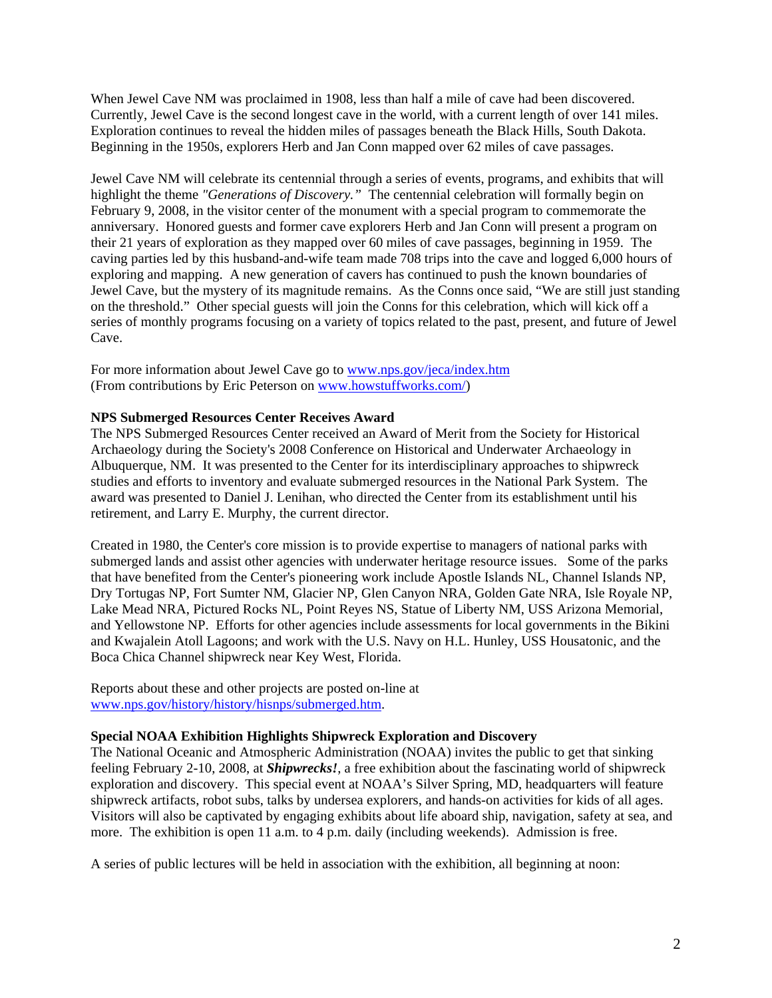When Jewel Cave NM was proclaimed in 1908, less than half a mile of cave had been discovered. Currently, Jewel Cave is the second longest cave in the world, with a current length of over 141 miles. Exploration continues to reveal the hidden miles of passages beneath the Black Hills, South Dakota. Beginning in the 1950s, explorers Herb and Jan Conn mapped over 62 miles of cave passages.

Jewel Cave NM will celebrate its centennial through a series of events, programs, and exhibits that will highlight the theme *"Generations of Discovery."* The centennial celebration will formally begin on February 9, 2008, in the visitor center of the monument with a special program to commemorate the anniversary. Honored guests and former cave explorers Herb and Jan Conn will present a program on their 21 years of exploration as they mapped over 60 miles of cave passages, beginning in 1959. The caving parties led by this husband-and-wife team made 708 trips into the cave and logged 6,000 hours of exploring and mapping. A new generation of cavers has continued to push the known boundaries of Jewel Cave, but the mystery of its magnitude remains. As the Conns once said, "We are still just standing on the threshold." Other special guests will join the Conns for this celebration, which will kick off a series of monthly programs focusing on a variety of topics related to the past, present, and future of Jewel Cave.

For more information about Jewel Cave go to<www.nps.gov/jeca/index.htm> (From contributions by Eric Peterson on www.howstuffworks.com/)

## **NPS Submerged Resources Center Receives Award**

The NPS Submerged Resources Center received an Award of Merit from the Society for Historical Archaeology during the Society's 2008 Conference on Historical and Underwater Archaeology in Albuquerque, NM. It was presented to the Center for its interdisciplinary approaches to shipwreck studies and efforts to inventory and evaluate submerged resources in the National Park System. The award was presented to Daniel J. Lenihan, who directed the Center from its establishment until his retirement, and Larry E. Murphy, the current director.

Created in 1980, the Center's core mission is to provide expertise to managers of national parks with submerged lands and assist other agencies with underwater heritage resource issues. Some of the parks that have benefited from the Center's pioneering work include Apostle Islands NL, Channel Islands NP, Dry Tortugas NP, Fort Sumter NM, Glacier NP, Glen Canyon NRA, Golden Gate NRA, Isle Royale NP, Lake Mead NRA, Pictured Rocks NL, Point Reyes NS, Statue of Liberty NM, USS Arizona Memorial, and Yellowstone NP. Efforts for other agencies include assessments for local governments in the Bikini and Kwajalein Atoll Lagoons; and work with the U.S. Navy on H.L. Hunley, USS Housatonic, and the Boca Chica Channel shipwreck near Key West, Florida.

Reports about these and other projects are posted on-line at [www.nps.gov/history/history/hisnps/submerged.htm.](www.nps.gov/history/history/hisnps/submerged.htm)

## **Special NOAA Exhibition Highlights Shipwreck Exploration and Discovery**

The National Oceanic and Atmospheric Administration (NOAA) invites the public to get that sinking feeling February 2-10, 2008, at *Shipwrecks!*, a free exhibition about the fascinating world of shipwreck exploration and discovery. This special event at NOAA's Silver Spring, MD, headquarters will feature shipwreck artifacts, robot subs, talks by undersea explorers, and hands-on activities for kids of all ages. Visitors will also be captivated by engaging exhibits about life aboard ship, navigation, safety at sea, and more. The exhibition is open 11 a.m. to 4 p.m. daily (including weekends). Admission is free.

A series of public lectures will be held in association with the exhibition, all beginning at noon: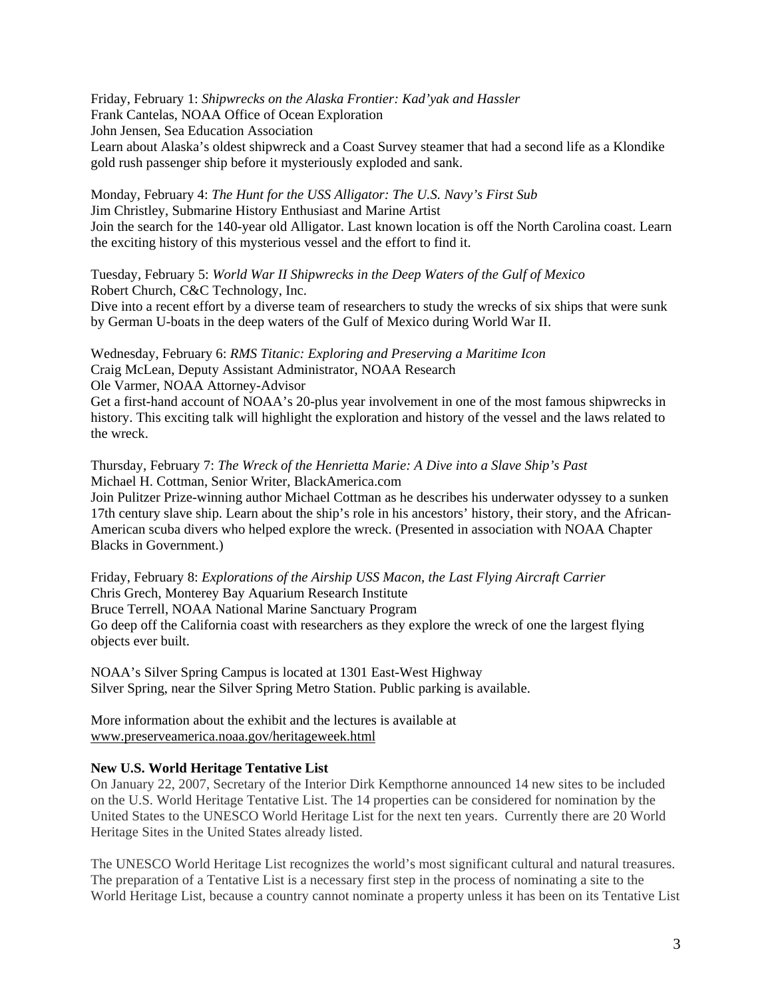Friday, February 1: *Shipwrecks on the Alaska Frontier: Kad'yak and Hassler*  Frank Cantelas, NOAA Office of Ocean Exploration John Jensen, Sea Education Association Learn about Alaska's oldest shipwreck and a Coast Survey steamer that had a second life as a Klondike gold rush passenger ship before it mysteriously exploded and sank.

Monday, February 4: *The Hunt for the USS Alligator: The U.S. Navy's First Sub* Jim Christley, Submarine History Enthusiast and Marine Artist Join the search for the 140-year old Alligator. Last known location is off the North Carolina coast. Learn the exciting history of this mysterious vessel and the effort to find it.

Tuesday, February 5: *World War II Shipwrecks in the Deep Waters of the Gulf of Mexico* Robert Church, C&C Technology, Inc.

Dive into a recent effort by a diverse team of researchers to study the wrecks of six ships that were sunk by German U-boats in the deep waters of the Gulf of Mexico during World War II.

Wednesday, February 6: *RMS Titanic: Exploring and Preserving a Maritime Icon*  Craig McLean, Deputy Assistant Administrator, NOAA Research Ole Varmer, NOAA Attorney-Advisor

Get a first-hand account of NOAA's 20-plus year involvement in one of the most famous shipwrecks in history. This exciting talk will highlight the exploration and history of the vessel and the laws related to the wreck.

Thursday, February 7: *The Wreck of the Henrietta Marie: A Dive into a Slave Ship's Past*  Michael H. Cottman, Senior Writer, BlackAmerica.com

Join Pulitzer Prize-winning author Michael Cottman as he describes his underwater odyssey to a sunken 17th century slave ship. Learn about the ship's role in his ancestors' history, their story, and the African-American scuba divers who helped explore the wreck. (Presented in association with NOAA Chapter Blacks in Government.)

Friday, February 8: *Explorations of the Airship USS Macon, the Last Flying Aircraft Carrier*  Chris Grech, Monterey Bay Aquarium Research Institute Bruce Terrell, NOAA National Marine Sanctuary Program Go deep off the California coast with researchers as they explore the wreck of one the largest flying objects ever built.

NOAA's Silver Spring Campus is located at 1301 East-West Highway Silver Spring, near the Silver Spring Metro Station. Public parking is available.

More information about the exhibit and the lectures is available at <www.preserveamerica.noaa.gov/heritageweek.html>

## **New U.S. World Heritage Tentative List**

On January 22, 2007, Secretary of the Interior Dirk Kempthorne announced 14 new sites to be included on the U.S. World Heritage Tentative List. The 14 properties can be considered for nomination by the United States to the UNESCO World Heritage List for the next ten years. Currently there are 20 World Heritage Sites in the United States already listed.

The UNESCO World Heritage List recognizes the world's most significant cultural and natural treasures. The preparation of a Tentative List is a necessary first step in the process of nominating a site to the World Heritage List, because a country cannot nominate a property unless it has been on its Tentative List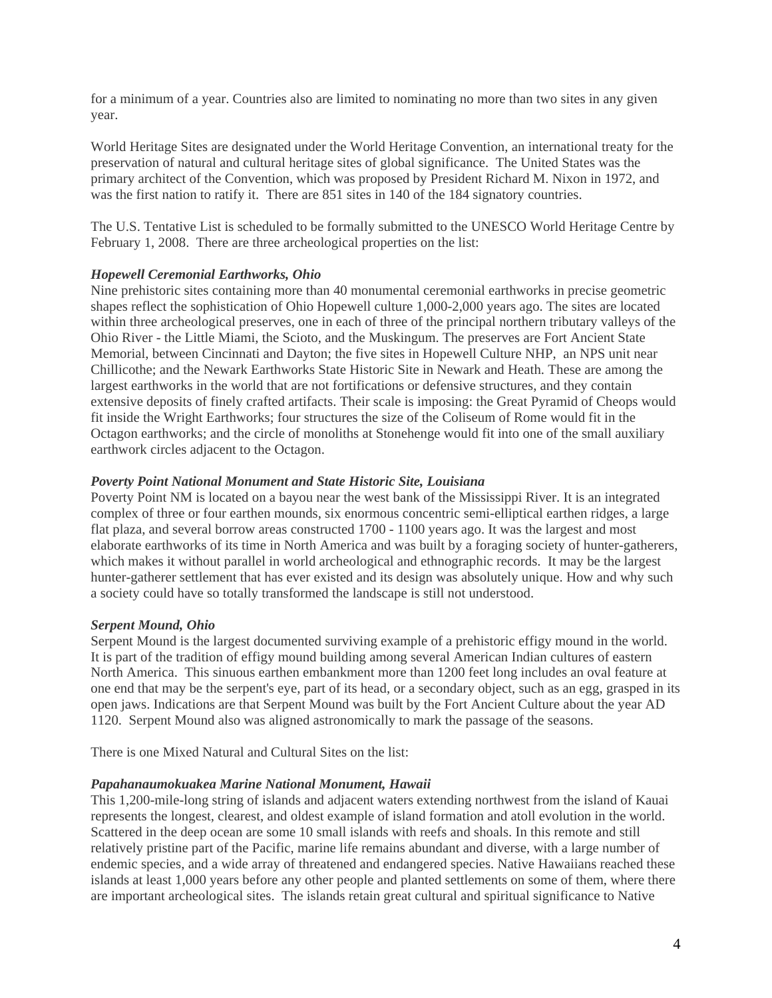for a minimum of a year. Countries also are limited to nominating no more than two sites in any given year.

World Heritage Sites are designated under the World Heritage Convention, an international treaty for the preservation of natural and cultural heritage sites of global significance. The United States was the primary architect of the Convention, which was proposed by President Richard M. Nixon in 1972, and was the first nation to ratify it. There are 851 sites in 140 of the 184 signatory countries.

The U.S. Tentative List is scheduled to be formally submitted to the UNESCO World Heritage Centre by February 1, 2008. There are three archeological properties on the list:

## *Hopewell Ceremonial Earthworks, Ohio*

Nine prehistoric sites containing more than 40 monumental ceremonial earthworks in precise geometric shapes reflect the sophistication of Ohio Hopewell culture 1,000-2,000 years ago. The sites are located within three archeological preserves, one in each of three of the principal northern tributary valleys of the Ohio River - the Little Miami, the Scioto, and the Muskingum. The preserves are Fort Ancient State Memorial, between Cincinnati and Dayton; the five sites in Hopewell Culture NHP, an NPS unit near Chillicothe; and the Newark Earthworks State Historic Site in Newark and Heath. These are among the largest earthworks in the world that are not fortifications or defensive structures, and they contain extensive deposits of finely crafted artifacts. Their scale is imposing: the Great Pyramid of Cheops would fit inside the Wright Earthworks; four structures the size of the Coliseum of Rome would fit in the Octagon earthworks; and the circle of monoliths at Stonehenge would fit into one of the small auxiliary earthwork circles adjacent to the Octagon.

### *Poverty Point National Monument and State Historic Site, Louisiana*

Poverty Point NM is located on a bayou near the west bank of the Mississippi River. It is an integrated complex of three or four earthen mounds, six enormous concentric semi-elliptical earthen ridges, a large flat plaza, and several borrow areas constructed 1700 - 1100 years ago. It was the largest and most elaborate earthworks of its time in North America and was built by a foraging society of hunter-gatherers, which makes it without parallel in world archeological and ethnographic records. It may be the largest hunter-gatherer settlement that has ever existed and its design was absolutely unique. How and why such a society could have so totally transformed the landscape is still not understood.

#### *Serpent Mound, Ohio*

Serpent Mound is the largest documented surviving example of a prehistoric effigy mound in the world. It is part of the tradition of effigy mound building among several American Indian cultures of eastern North America. This sinuous earthen embankment more than 1200 feet long includes an oval feature at one end that may be the serpent's eye, part of its head, or a secondary object, such as an egg, grasped in its open jaws. Indications are that Serpent Mound was built by the Fort Ancient Culture about the year AD 1120. Serpent Mound also was aligned astronomically to mark the passage of the seasons.

There is one Mixed Natural and Cultural Sites on the list:

#### *Papahanaumokuakea Marine National Monument, Hawaii*

This 1,200-mile-long string of islands and adjacent waters extending northwest from the island of Kauai represents the longest, clearest, and oldest example of island formation and atoll evolution in the world. Scattered in the deep ocean are some 10 small islands with reefs and shoals. In this remote and still relatively pristine part of the Pacific, marine life remains abundant and diverse, with a large number of endemic species, and a wide array of threatened and endangered species. Native Hawaiians reached these islands at least 1,000 years before any other people and planted settlements on some of them, where there are important archeological sites. The islands retain great cultural and spiritual significance to Native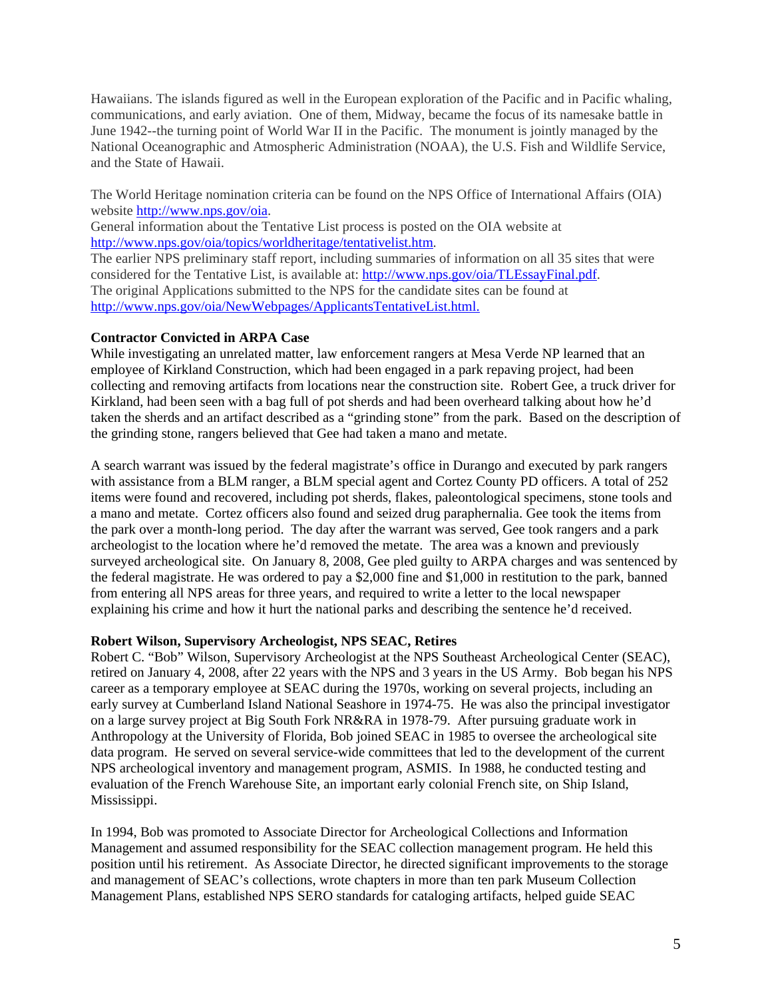Hawaiians. The islands figured as well in the European exploration of the Pacific and in Pacific whaling, communications, and early aviation. One of them, Midway, became the focus of its namesake battle in June 1942--the turning point of World War II in the Pacific. The monument is jointly managed by the National Oceanographic and Atmospheric Administration (NOAA), the U.S. Fish and Wildlife Service, and the State of Hawaii.

The World Heritage nomination criteria can be found on the NPS Office of International Affairs (OIA) website<http://www.nps.gov/oia>.

General information about the Tentative List process is posted on the OIA website at [http://www.nps.gov/oia/topics/worldheritage/tentativelist.htm.](http://www.nps.gov/oia/topics/worldheritage/tentativelist.htm)

The earlier NPS preliminary staff report, including summaries of information on all 35 sites that were considered for the Tentative List, is available at: [http://www.nps.gov/oia/TLEssayFinal.pdf.](http://www.nps.gov/oia/TLEssayFinal.pdf) The original Applications submitted to the NPS for the candidate sites can be found at [http://www.nps.gov/oia/NewWebpages/ApplicantsTentativeList.html.](http://www.nps.gov/oia/NewWebpages/ApplicantsTentativeList.html)

## **Contractor Convicted in ARPA Case**

While investigating an unrelated matter, law enforcement rangers at Mesa Verde NP learned that an employee of Kirkland Construction, which had been engaged in a park repaving project, had been collecting and removing artifacts from locations near the construction site. Robert Gee, a truck driver for Kirkland, had been seen with a bag full of pot sherds and had been overheard talking about how he'd taken the sherds and an artifact described as a "grinding stone" from the park. Based on the description of the grinding stone, rangers believed that Gee had taken a mano and metate.

A search warrant was issued by the federal magistrate's office in Durango and executed by park rangers with assistance from a BLM ranger, a BLM special agent and Cortez County PD officers. A total of 252 items were found and recovered, including pot sherds, flakes, paleontological specimens, stone tools and a mano and metate. Cortez officers also found and seized drug paraphernalia. Gee took the items from the park over a month-long period. The day after the warrant was served, Gee took rangers and a park archeologist to the location where he'd removed the metate. The area was a known and previously surveyed archeological site. On January 8, 2008, Gee pled guilty to ARPA charges and was sentenced by the federal magistrate. He was ordered to pay a \$2,000 fine and \$1,000 in restitution to the park, banned from entering all NPS areas for three years, and required to write a letter to the local newspaper explaining his crime and how it hurt the national parks and describing the sentence he'd received.

## **Robert Wilson, Supervisory Archeologist, NPS SEAC, Retires**

Robert C. "Bob" Wilson, Supervisory Archeologist at the NPS Southeast Archeological Center (SEAC), retired on January 4, 2008, after 22 years with the NPS and 3 years in the US Army. Bob began his NPS career as a temporary employee at SEAC during the 1970s, working on several projects, including an early survey at Cumberland Island National Seashore in 1974-75. He was also the principal investigator on a large survey project at Big South Fork NR&RA in 1978-79. After pursuing graduate work in Anthropology at the University of Florida, Bob joined SEAC in 1985 to oversee the archeological site data program. He served on several service-wide committees that led to the development of the current NPS archeological inventory and management program, ASMIS. In 1988, he conducted testing and evaluation of the French Warehouse Site, an important early colonial French site, on Ship Island, Mississippi.

In 1994, Bob was promoted to Associate Director for Archeological Collections and Information Management and assumed responsibility for the SEAC collection management program. He held this position until his retirement. As Associate Director, he directed significant improvements to the storage and management of SEAC's collections, wrote chapters in more than ten park Museum Collection Management Plans, established NPS SERO standards for cataloging artifacts, helped guide SEAC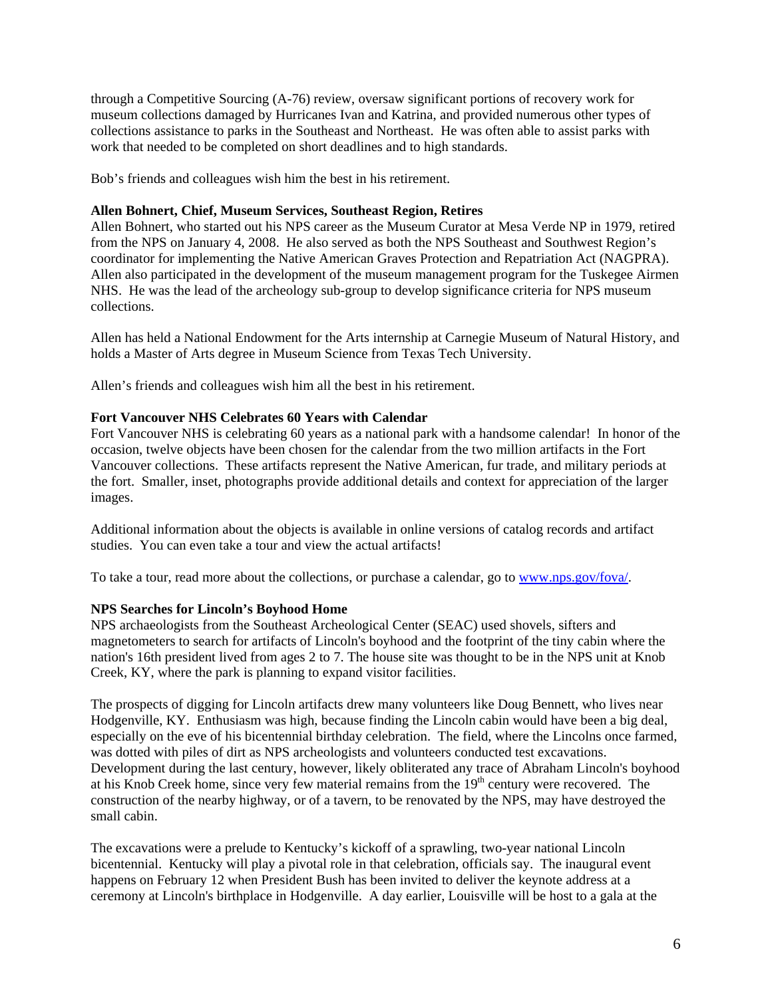through a Competitive Sourcing (A-76) review, oversaw significant portions of recovery work for museum collections damaged by Hurricanes Ivan and Katrina, and provided numerous other types of collections assistance to parks in the Southeast and Northeast. He was often able to assist parks with work that needed to be completed on short deadlines and to high standards.

Bob's friends and colleagues wish him the best in his retirement.

### **Allen Bohnert, Chief, Museum Services, Southeast Region, Retires**

Allen Bohnert, who started out his NPS career as the Museum Curator at Mesa Verde NP in 1979, retired from the NPS on January 4, 2008. He also served as both the NPS Southeast and Southwest Region's coordinator for implementing the Native American Graves Protection and Repatriation Act (NAGPRA). Allen also participated in the development of the museum management program for the Tuskegee Airmen NHS. He was the lead of the archeology sub-group to develop significance criteria for NPS museum collections.

Allen has held a National Endowment for the Arts internship at Carnegie Museum of Natural History, and holds a Master of Arts degree in Museum Science from Texas Tech University.

Allen's friends and colleagues wish him all the best in his retirement.

## **Fort Vancouver NHS Celebrates 60 Years with Calendar**

Fort Vancouver NHS is celebrating 60 years as a national park with a handsome calendar! In honor of the occasion, twelve objects have been chosen for the calendar from the two million artifacts in the Fort Vancouver collections. These artifacts represent the Native American, fur trade, and military periods at the fort. Smaller, inset, photographs provide additional details and context for appreciation of the larger images.

Additional information about the objects is available in online versions of catalog records and artifact studies. You can even take a tour and view the actual artifacts!

To take a tour, read more about the collections, or purchase a calendar, go to <www.nps.gov/fova/>.

#### **NPS Searches for Lincoln's Boyhood Home**

NPS archaeologists from the Southeast Archeological Center (SEAC) used shovels, sifters and magnetometers to search for artifacts of Lincoln's boyhood and the footprint of the tiny cabin where the nation's 16th president lived from ages 2 to 7. The house site was thought to be in the NPS unit at Knob Creek, KY, where the park is planning to expand visitor facilities.

The prospects of digging for Lincoln artifacts drew many volunteers like Doug Bennett, who lives near Hodgenville, KY. Enthusiasm was high, because finding the Lincoln cabin would have been a big deal, especially on the eve of his bicentennial birthday celebration. The field, where the Lincolns once farmed, was dotted with piles of dirt as NPS archeologists and volunteers conducted test excavations. Development during the last century, however, likely obliterated any trace of Abraham Lincoln's boyhood at his Knob Creek home, since very few material remains from the 19<sup>th</sup> century were recovered. The construction of the nearby highway, or of a tavern, to be renovated by the NPS, may have destroyed the small cabin.

The excavations were a prelude to Kentucky's kickoff of a sprawling, two-year national Lincoln bicentennial. Kentucky will play a pivotal role in that celebration, officials say. The inaugural event happens on February 12 when President Bush has been invited to deliver the keynote address at a ceremony at Lincoln's birthplace in Hodgenville. A day earlier, Louisville will be host to a gala at the